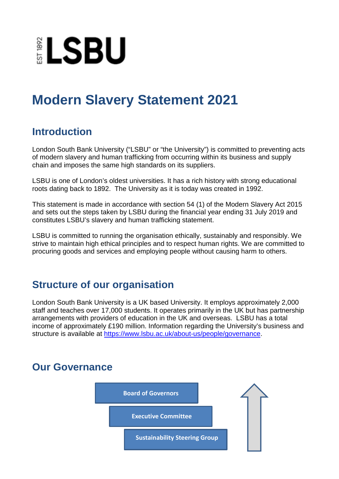

# **Modern Slavery Statement 2021**

# **Introduction**

London South Bank University ("LSBU" or "the University") is committed to preventing acts of modern slavery and human trafficking from occurring within its business and supply chain and imposes the same high standards on its suppliers.

LSBU is one of London's oldest universities. It has a rich history with strong educational roots dating back to 1892. The University as it is today was created in 1992.

This statement is made in accordance with section 54 (1) of the Modern Slavery Act 2015 and sets out the steps taken by LSBU during the financial year ending 31 July 2019 and constitutes LSBU's slavery and human trafficking statement.

LSBU is committed to running the organisation ethically, sustainably and responsibly. We strive to maintain high ethical principles and to respect human rights. We are committed to procuring goods and services and employing people without causing harm to others.

# **Structure of our organisation**

London South Bank University is a UK based University. It employs approximately 2,000 staff and teaches over 17,000 students. It operates primarily in the UK but has partnership arrangements with providers of education in the UK and overseas. LSBU has a total income of approximately £190 million. Information regarding the University's business and structure is available at [https://www.lsbu.ac.uk/about-us/people/governance.](https://www.lsbu.ac.uk/about-us/people/governance)

# **Our Governance**

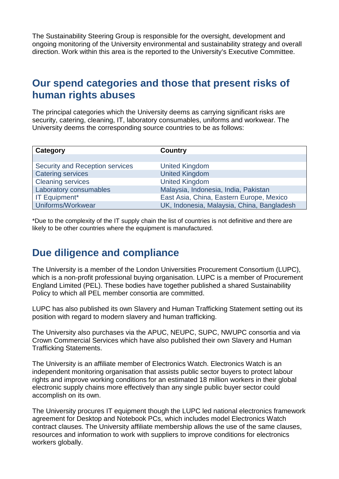The Sustainability Steering Group is responsible for the oversight, development and ongoing monitoring of the University environmental and sustainability strategy and overall direction. Work within this area is the reported to the University's Executive Committee.

#### **Our spend categories and those that present risks of human rights abuses**

The principal categories which the University deems as carrying significant risks are security, catering, cleaning, IT, laboratory consumables, uniforms and workwear. The University deems the corresponding source countries to be as follows:

| Category                        | <b>Country</b>                             |
|---------------------------------|--------------------------------------------|
|                                 |                                            |
| Security and Reception services | <b>United Kingdom</b>                      |
| <b>Catering services</b>        | <b>United Kingdom</b>                      |
| <b>Cleaning services</b>        | <b>United Kingdom</b>                      |
| Laboratory consumables          | Malaysia, Indonesia, India, Pakistan       |
| <b>IT Equipment*</b>            | East Asia, China, Eastern Europe, Mexico   |
| Uniforms/Workwear               | UK, Indonesia, Malaysia, China, Bangladesh |

\*Due to the complexity of the IT supply chain the list of countries is not definitive and there are likely to be other countries where the equipment is manufactured.

# **Due diligence and compliance**

The University is a member of the London Universities Procurement Consortium (LUPC), which is a non-profit professional buying organisation. LUPC is a member of Procurement England Limited (PEL). These bodies have together published a shared Sustainability Policy to which all PEL member consortia are committed.

LUPC has also published its own Slavery and Human Trafficking Statement setting out its position with regard to modern slavery and human trafficking.

The University also purchases via the APUC, NEUPC, SUPC, NWUPC consortia and via Crown Commercial Services which have also published their own Slavery and Human Trafficking Statements.

The University is an affiliate member of Electronics Watch. Electronics Watch is an independent monitoring organisation that assists public sector buyers to protect labour rights and improve working conditions for an estimated 18 million workers in their global electronic supply chains more effectively than any single public buyer sector could accomplish on its own.

The University procures IT equipment though the LUPC led national electronics framework agreement for Desktop and Notebook PCs, which includes model Electronics Watch contract clauses. The University affiliate membership allows the use of the same clauses, resources and information to work with suppliers to improve conditions for electronics workers globally.